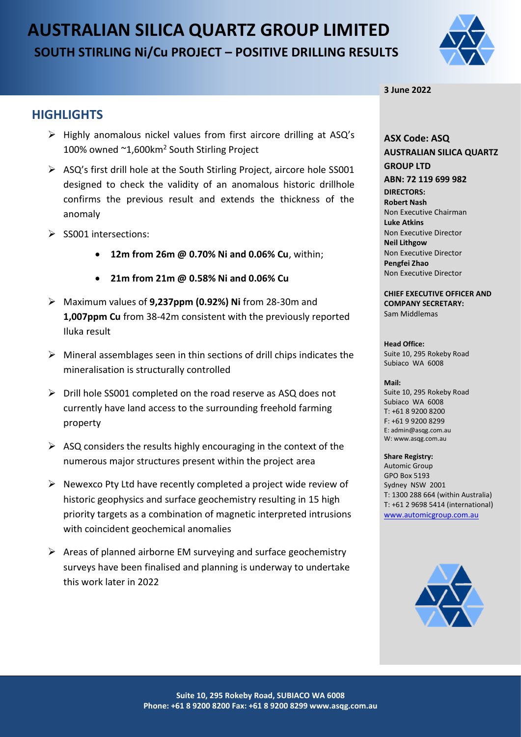# **AUSTRALIAN SILICA QUARTZ GROUP LIMITED SOUTH STIRLING Ni/Cu PROJECT – POSITIVE DRILLING RESULTS**



### **3 June 2022**

### **HIGHLIGHTS**

- ➢ Highly anomalous nickel values from first aircore drilling at ASQ's 100% owned ~1,600km<sup>2</sup> South Stirling Project
- ➢ ASQ's first drill hole at the South Stirling Project, aircore hole SS001 designed to check the validity of an anomalous historic drillhole confirms the previous result and extends the thickness of the anomaly
- ➢ SS001 intersections:
	- **12m from 26m @ 0.70% Ni and 0.06% Cu**, within;
	- **21m from 21m @ 0.58% Ni and 0.06% Cu**
- ➢ Maximum values of **9,237ppm (0.92%) Ni** from 28-30m and **1,007ppm Cu** from 38-42m consistent with the previously reported Iluka result
- ➢ Mineral assemblages seen in thin sections of drill chips indicates the mineralisation is structurally controlled
- ➢ Drill hole SS001 completed on the road reserve as ASQ does not currently have land access to the surrounding freehold farming property
- $\triangleright$  ASQ considers the results highly encouraging in the context of the numerous major structures present within the project area
- $\triangleright$  Newexco Pty Ltd have recently completed a project wide review of historic geophysics and surface geochemistry resulting in 15 high priority targets as a combination of magnetic interpreted intrusions with coincident geochemical anomalies
- $\triangleright$  Areas of planned airborne EM surveying and surface geochemistry surveys have been finalised and planning is underway to undertake this work later in 2022

### **ASX Code: ASQ AUSTRALIAN SILICA QUARTZ GROUP LTD ABN: 72 119 699 982 DIRECTORS: Robert Nash** Non Executive Chairman **Luke Atkins**  Non Executive Director **Neil Lithgow** Non Executive Director **Pengfei Zhao** Non Executive Director

**CHIEF EXECUTIVE OFFICER AND COMPANY SECRETARY:** Sam Middlemas

### **Head Office:**

Suite 10, 295 Rokeby Road Subiaco WA 6008

#### **Mail:**

Suite 10, 295 Rokeby Road Subiaco WA 6008  $T: +61892008200$ F: +61 9 9200 8299 E: admin@asqg.com.au W: www.asqg.com.au

#### **Share Registry:**

Automic Group GPO Box 5193 Sydney NSW 2001 T: 1300 288 664 (within Australia) T: +61 2 9698 5414 (international) [www.automicgroup.com.au](http://www.automicgroup.com.au/)

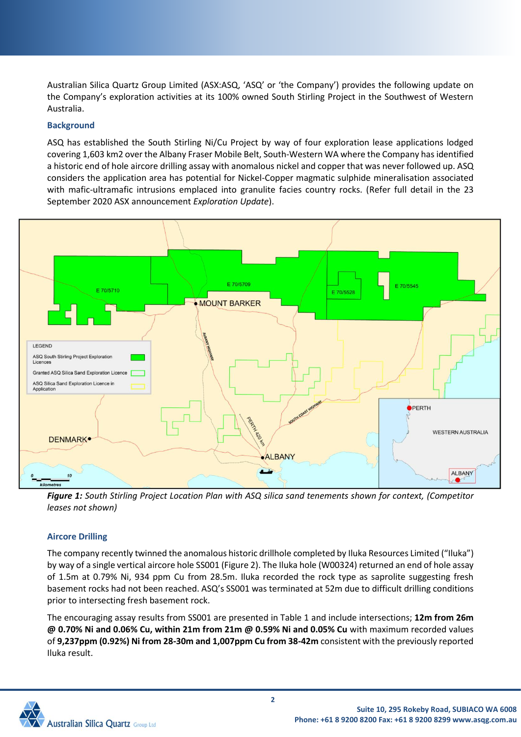Australian Silica Quartz Group Limited (ASX:ASQ, 'ASQ' or 'the Company') provides the following update on the Company's exploration activities at its 100% owned South Stirling Project in the Southwest of Western Australia.

### **Background**

ASQ has established the South Stirling Ni/Cu Project by way of four exploration lease applications lodged covering 1,603 km2 over the Albany Fraser Mobile Belt, South-Western WA where the Company has identified a historic end of hole aircore drilling assay with anomalous nickel and copper that was never followed up. ASQ considers the application area has potential for Nickel-Copper magmatic sulphide mineralisation associated with mafic-ultramafic intrusions emplaced into granulite facies country rocks. (Refer full detail in the 23 September 2020 ASX announcement *Exploration Update*).



*Figure 1: South Stirling Project Location Plan with ASQ silica sand tenements shown for context, (Competitor leases not shown)*

### **Aircore Drilling**

The company recently twinned the anomalous historic drillhole completed by Iluka Resources Limited ("Iluka") by way of a single vertical aircore hole SS001 (Figure 2). The Iluka hole (W00324) returned an end of hole assay of 1.5m at 0.79% Ni, 934 ppm Cu from 28.5m. Iluka recorded the rock type as saprolite suggesting fresh basement rocks had not been reached. ASQ's SS001 was terminated at 52m due to difficult drilling conditions prior to intersecting fresh basement rock.

The encouraging assay results from SS001 are presented in Table 1 and include intersections; **12m from 26m @ 0.70% Ni and 0.06% Cu, within 21m from 21m @ 0.59% Ni and 0.05% Cu** with maximum recorded values of **9,237ppm (0.92%) Ni from 28-30m and 1,007ppm Cu from 38-42m** consistent with the previously reported Iluka result.

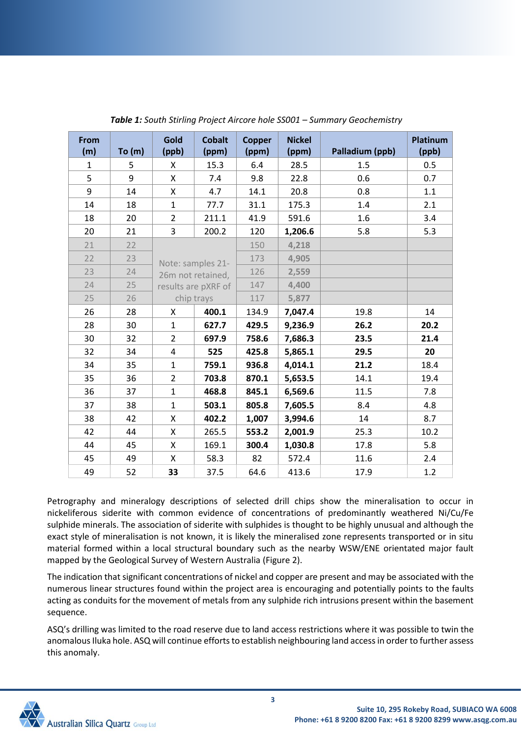| From |       | Gold           | <b>Cobalt</b>       | <b>Copper</b> | <b>Nickel</b> |                 | <b>Platinum</b> |
|------|-------|----------------|---------------------|---------------|---------------|-----------------|-----------------|
| (m)  | To(m) | (ppb)          | (ppm)               | (ppm)         | (ppm)         | Palladium (ppb) | (ppb)           |
| 1    | 5     | X              | 15.3                | 6.4           | 28.5          | 1.5             | 0.5             |
| 5    | 9     | X              | 7.4                 | 9.8           | 22.8          | 0.6             | 0.7             |
| 9    | 14    | Χ              | 4.7                 | 14.1          | 20.8          | 0.8             | 1.1             |
| 14   | 18    | $\mathbf{1}$   | 77.7                | 31.1          | 175.3         | 1.4             | 2.1             |
| 18   | 20    | $\overline{2}$ | 211.1               | 41.9          | 591.6         | 1.6             | 3.4             |
| 20   | 21    | 3              | 200.2               | 120           | 1,206.6       | 5.8             | 5.3             |
| 21   | 22    |                |                     | 150           | 4,218         |                 |                 |
| 22   | 23    |                | Note: samples 21-   | 173           | 4,905         |                 |                 |
| 23   | 24    |                | 26m not retained,   | 126           | 2,559         |                 |                 |
| 24   | 25    |                | results are pXRF of | 147           | 4,400         |                 |                 |
| 25   | 26    | chip trays     |                     | 117           | 5,877         |                 |                 |
| 26   | 28    | X              | 400.1               | 134.9         | 7,047.4       | 19.8            | 14              |
| 28   | 30    | $\mathbf{1}$   | 627.7               | 429.5         | 9,236.9       | 26.2            | 20.2            |
| 30   | 32    | $\overline{2}$ | 697.9               | 758.6         | 7,686.3       | 23.5            | 21.4            |
| 32   | 34    | 4              | 525                 | 425.8         | 5,865.1       | 29.5            | 20              |
| 34   | 35    | $\mathbf{1}$   | 759.1               | 936.8         | 4,014.1       | 21.2            | 18.4            |
| 35   | 36    | $\overline{2}$ | 703.8               |               | 5,653.5       | 14.1            | 19.4            |
| 36   | 37    | $\mathbf{1}$   | 468.8               | 845.1         | 6,569.6       | 11.5            | 7.8             |
| 37   | 38    | $\mathbf{1}$   | 503.1               | 805.8         | 7,605.5       | 8.4             | 4.8             |
| 38   | 42    | Χ              | 402.2               | 1,007         | 3,994.6       | 14              | 8.7             |
| 42   | 44    | Χ              | 265.5               | 553.2         | 2,001.9       | 25.3            | 10.2            |
| 44   | 45    | X              | 169.1               | 300.4         | 1,030.8       | 17.8            | 5.8             |
| 45   | 49    | X              | 58.3                | 82            | 572.4         | 11.6            | 2.4             |
| 49   | 52    | 33             | 37.5                | 64.6          | 413.6         | 17.9            | 1.2             |

*Table 1: South Stirling Project Aircore hole SS001 – Summary Geochemistry*

Petrography and mineralogy descriptions of selected drill chips show the mineralisation to occur in nickeliferous siderite with common evidence of concentrations of predominantly weathered Ni/Cu/Fe sulphide minerals. The association of siderite with sulphides is thought to be highly unusual and although the exact style of mineralisation is not known, it is likely the mineralised zone represents transported or in situ material formed within a local structural boundary such as the nearby WSW/ENE orientated major fault mapped by the Geological Survey of Western Australia (Figure 2).

The indication that significant concentrations of nickel and copper are present and may be associated with the numerous linear structures found within the project area is encouraging and potentially points to the faults acting as conduits for the movement of metals from any sulphide rich intrusions present within the basement sequence.

ASQ's drilling was limited to the road reserve due to land access restrictions where it was possible to twin the anomalous Iluka hole. ASQ will continue efforts to establish neighbouring land access in order to further assess this anomaly.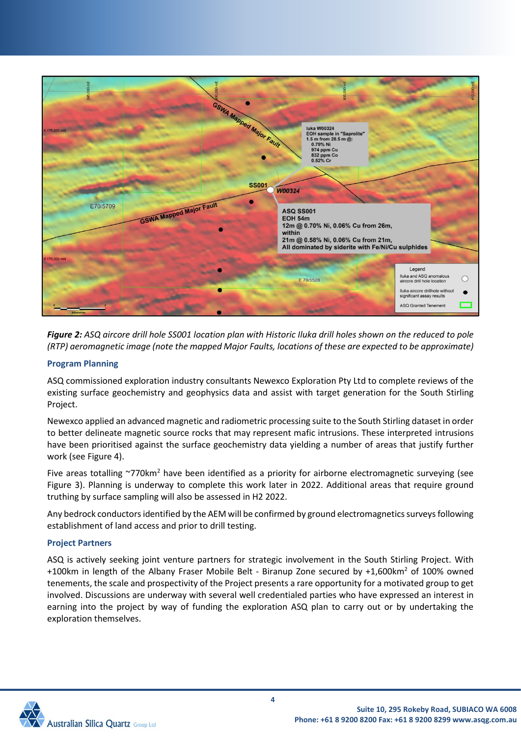

*Figure 2: ASQ aircore drill hole SS001 location plan with Historic Iluka drill holes shown on the reduced to pole (RTP) aeromagnetic image (note the mapped Major Faults, locations of these are expected to be approximate)*

### **Program Planning**

ASQ commissioned exploration industry consultants Newexco Exploration Pty Ltd to complete reviews of the existing surface geochemistry and geophysics data and assist with target generation for the South Stirling Project.

Newexco applied an advanced magnetic and radiometric processing suite to the South Stirling dataset in order to better delineate magnetic source rocks that may represent mafic intrusions. These interpreted intrusions have been prioritised against the surface geochemistry data yielding a number of areas that justify further work (see Figure 4).

Five areas totalling ~770km<sup>2</sup> have been identified as a priority for airborne electromagnetic surveying (see Figure 3). Planning is underway to complete this work later in 2022. Additional areas that require ground truthing by surface sampling will also be assessed in H2 2022.

Any bedrock conductors identified by the AEM will be confirmed by ground electromagnetics surveys following establishment of land access and prior to drill testing.

### **Project Partners**

ASQ is actively seeking joint venture partners for strategic involvement in the South Stirling Project. With +100km in length of the Albany Fraser Mobile Belt - Biranup Zone secured by +1,600km<sup>2</sup> of 100% owned tenements, the scale and prospectivity of the Project presents a rare opportunity for a motivated group to get involved. Discussions are underway with several well credentialed parties who have expressed an interest in earning into the project by way of funding the exploration ASQ plan to carry out or by undertaking the exploration themselves.

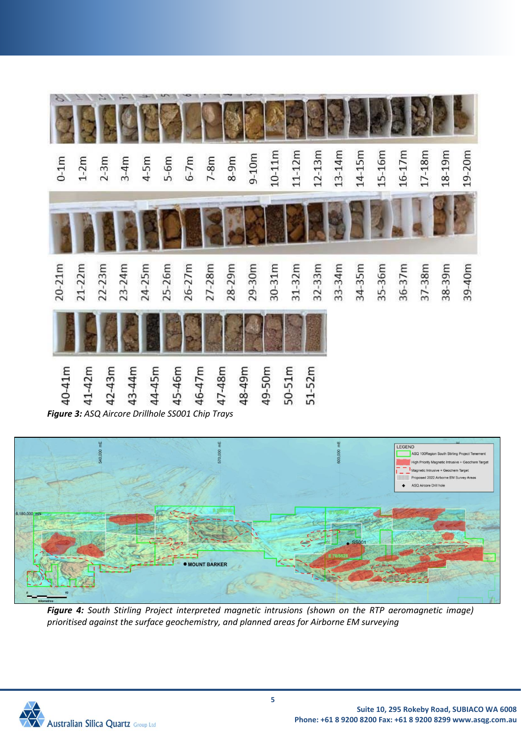



*Figure 4: South Stirling Project interpreted magnetic intrusions (shown on the RTP aeromagnetic image) prioritised against the surface geochemistry, and planned areas for Airborne EM surveying*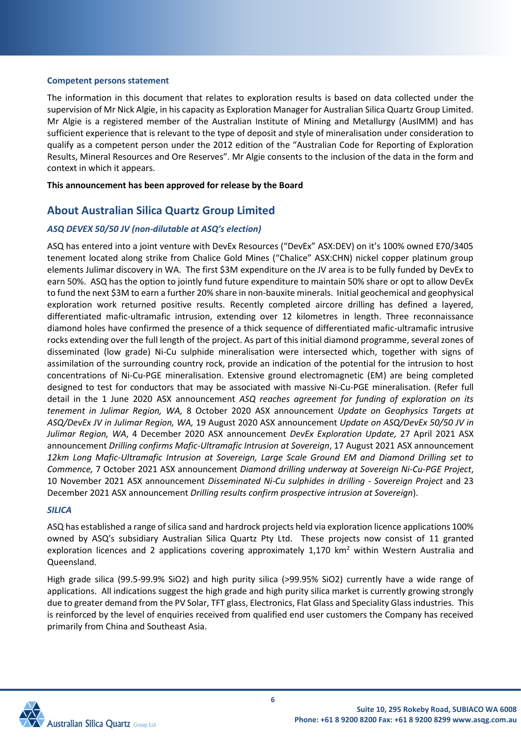### **Competent persons statement**

The information in this document that relates to exploration results is based on data collected under the supervision of Mr Nick Algie, in his capacity as Exploration Manager for Australian Silica Quartz Group Limited. Mr Algie is a registered member of the Australian Institute of Mining and Metallurgy (AusIMM) and has sufficient experience that is relevant to the type of deposit and style of mineralisation under consideration to qualify as a competent person under the 2012 edition of the "Australian Code for Reporting of Exploration Results, Mineral Resources and Ore Reserves". Mr Algie consents to the inclusion of the data in the form and context in which it appears.

**This announcement has been approved for release by the Board**

### **About Australian Silica Quartz Group Limited**

### *ASQ DEVEX 50/50 JV (non-dilutable at ASQ's election)*

ASQ has entered into a joint venture with DevEx Resources ("DevEx" ASX:DEV) on it's 100% owned E70/3405 tenement located along strike from Chalice Gold Mines ("Chalice" ASX:CHN) nickel copper platinum group elements Julimar discovery in WA. The first \$3M expenditure on the JV area is to be fully funded by DevEx to earn 50%. ASQ has the option to jointly fund future expenditure to maintain 50% share or opt to allow DevEx to fund the next \$3M to earn a further 20% share in non-bauxite minerals. Initial geochemical and geophysical exploration work returned positive results. Recently completed aircore drilling has defined a layered, differentiated mafic-ultramafic intrusion, extending over 12 kilometres in length. Three reconnaissance diamond holes have confirmed the presence of a thick sequence of differentiated mafic-ultramafic intrusive rocks extending over the full length of the project. As part of this initial diamond programme, several zones of disseminated (low grade) Ni-Cu sulphide mineralisation were intersected which, together with signs of assimilation of the surrounding country rock, provide an indication of the potential for the intrusion to host concentrations of Ni-Cu-PGE mineralisation. Extensive ground electromagnetic (EM) are being completed designed to test for conductors that may be associated with massive Ni-Cu-PGE mineralisation. (Refer full detail in the 1 June 2020 ASX announcement *ASQ reaches agreement for funding of exploration on its tenement in Julimar Region, WA,* 8 October 2020 ASX announcement *Update on Geophysics Targets at ASQ/DevEx JV in Julimar Region, WA,* 19 August 2020 ASX announcement *Update on ASQ/DevEx 50/50 JV in Julimar Region, WA*, 4 December 2020 ASX announcement *DevEx Exploration Update,* 27 April 2021 ASX announcement *Drilling confirms Mafic-Ultramafic Intrusion at Sovereign*, 17 August 2021 ASX announcement *12km Long Mafic-Ultramafic Intrusion at Sovereign, Large Scale Ground EM and Diamond Drilling set to Commence,* 7 October 2021 ASX announcement *Diamond drilling underway at Sovereign Ni-Cu-PGE Project*, 10 November 2021 ASX announcement *Disseminated Ni-Cu sulphides in drilling - Sovereign Project* and 23 December 2021 ASX announcement *Drilling results confirm prospective intrusion at Sovereign*).

### *SILICA*

ASQ has established a range of silica sand and hardrock projects held via exploration licence applications 100% owned by ASQ's subsidiary Australian Silica Quartz Pty Ltd. These projects now consist of 11 granted exploration licences and 2 applications covering approximately 1,170 km<sup>2</sup> within Western Australia and Queensland.

High grade silica (99.5-99.9% SiO2) and high purity silica (>99.95% SiO2) currently have a wide range of applications. All indications suggest the high grade and high purity silica market is currently growing strongly due to greater demand from the PV Solar, TFT glass, Electronics, Flat Glass and Speciality Glass industries. This is reinforced by the level of enquiries received from qualified end user customers the Company has received primarily from China and Southeast Asia.

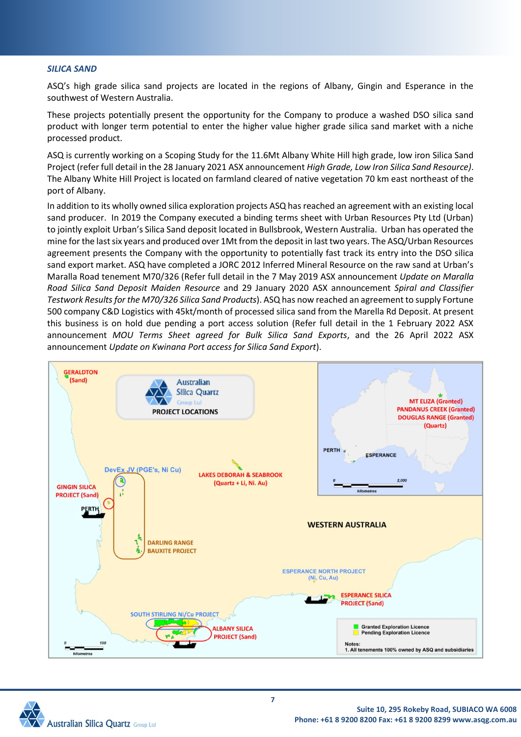#### *SILICA SAND*

ASQ's high grade silica sand projects are located in the regions of Albany, Gingin and Esperance in the southwest of Western Australia.

These projects potentially present the opportunity for the Company to produce a washed DSO silica sand product with longer term potential to enter the higher value higher grade silica sand market with a niche processed product.

ASQ is currently working on a Scoping Study for the 11.6Mt Albany White Hill high grade, low iron Silica Sand Project (refer full detail in the 28 January 2021 ASX announcement *High Grade, Low Iron Silica Sand Resource)*. The Albany White Hill Project is located on farmland cleared of native vegetation 70 km east northeast of the port of Albany.

In addition to its wholly owned silica exploration projects ASQ has reached an agreement with an existing local sand producer. In 2019 the Company executed a binding terms sheet with Urban Resources Pty Ltd (Urban) to jointly exploit Urban's Silica Sand deposit located in Bullsbrook, Western Australia. Urban has operated the mine for the last six years and produced over 1Mt from the deposit in last two years. The ASQ/Urban Resources agreement presents the Company with the opportunity to potentially fast track its entry into the DSO silica sand export market. ASQ have completed a JORC 2012 Inferred Mineral Resource on the raw sand at Urban's Maralla Road tenement M70/326 (Refer full detail in the 7 May 2019 ASX announcement *Update on Maralla Road Silica Sand Deposit Maiden Resource* and 29 January 2020 ASX announcement *Spiral and Classifier Testwork Results for the M70/326 Silica Sand Products*). ASQ has now reached an agreement to supply Fortune 500 company C&D Logistics with 45kt/month of processed silica sand from the Marella Rd Deposit. At present this business is on hold due pending a port access solution (Refer full detail in the 1 February 2022 ASX announcement *MOU Terms Sheet agreed for Bulk Silica Sand Exports*, and the 26 April 2022 ASX announcement *Update on Kwinana Port access for Silica Sand Export*).



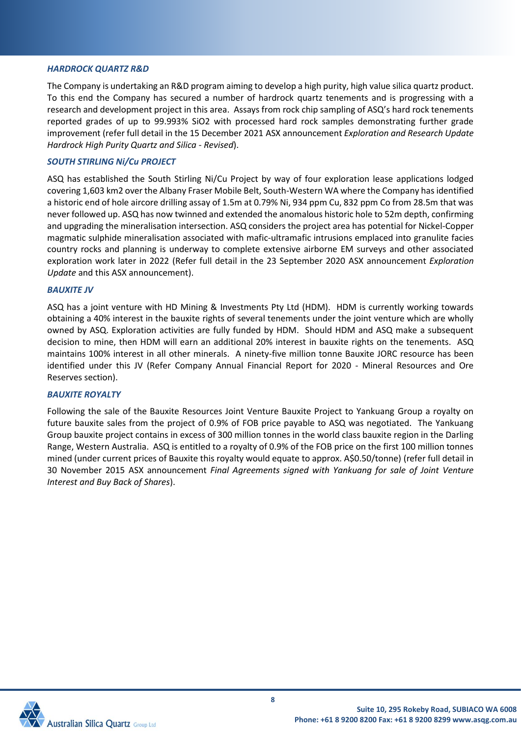#### *HARDROCK QUARTZ R&D*

The Company is undertaking an R&D program aiming to develop a high purity, high value silica quartz product. To this end the Company has secured a number of hardrock quartz tenements and is progressing with a research and development project in this area. Assays from rock chip sampling of ASQ's hard rock tenements reported grades of up to 99.993% SiO2 with processed hard rock samples demonstrating further grade improvement (refer full detail in the 15 December 2021 ASX announcement *Exploration and Research Update Hardrock High Purity Quartz and Silica - Revised*).

### *SOUTH STIRLING Ni/Cu PROJECT*

ASQ has established the South Stirling Ni/Cu Project by way of four exploration lease applications lodged covering 1,603 km2 over the Albany Fraser Mobile Belt, South-Western WA where the Company has identified a historic end of hole aircore drilling assay of 1.5m at 0.79% Ni, 934 ppm Cu, 832 ppm Co from 28.5m that was never followed up. ASQ has now twinned and extended the anomalous historic hole to 52m depth, confirming and upgrading the mineralisation intersection. ASQ considers the project area has potential for Nickel-Copper magmatic sulphide mineralisation associated with mafic-ultramafic intrusions emplaced into granulite facies country rocks and planning is underway to complete extensive airborne EM surveys and other associated exploration work later in 2022 (Refer full detail in the 23 September 2020 ASX announcement *Exploration Update* and this ASX announcement).

### *BAUXITE JV*

ASQ has a joint venture with HD Mining & Investments Pty Ltd (HDM). HDM is currently working towards obtaining a 40% interest in the bauxite rights of several tenements under the joint venture which are wholly owned by ASQ. Exploration activities are fully funded by HDM. Should HDM and ASQ make a subsequent decision to mine, then HDM will earn an additional 20% interest in bauxite rights on the tenements. ASQ maintains 100% interest in all other minerals. A ninety-five million tonne Bauxite JORC resource has been identified under this JV (Refer Company Annual Financial Report for 2020 - Mineral Resources and Ore Reserves section).

### *BAUXITE ROYALTY*

Following the sale of the Bauxite Resources Joint Venture Bauxite Project to Yankuang Group a royalty on future bauxite sales from the project of 0.9% of FOB price payable to ASQ was negotiated. The Yankuang Group bauxite project contains in excess of 300 million tonnes in the world class bauxite region in the Darling Range, Western Australia. ASQ is entitled to a royalty of 0.9% of the FOB price on the first 100 million tonnes mined (under current prices of Bauxite this royalty would equate to approx. A\$0.50/tonne) (refer full detail in 30 November 2015 ASX announcement *Final Agreements signed with Yankuang for sale of Joint Venture Interest and Buy Back of Shares*).

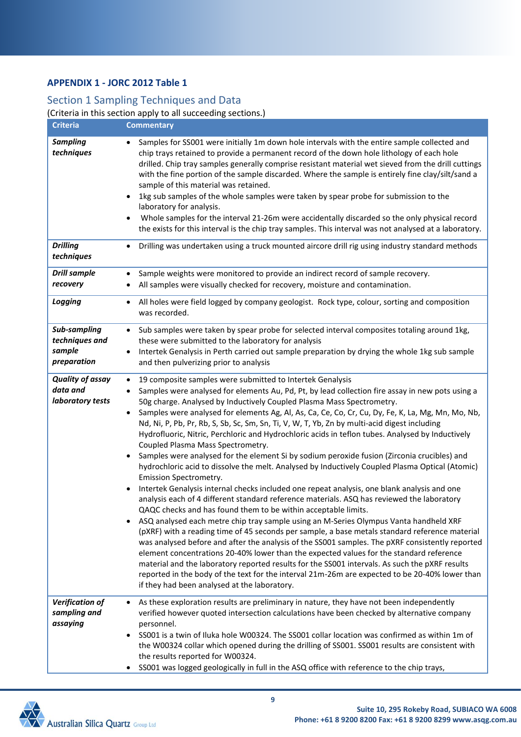### **APPENDIX 1 - JORC 2012 Table 1**

### Section 1 Sampling Techniques and Data

(Criteria in this section apply to all succeeding sections.)

| Criteria                                                | <b>Commentary</b>                                                                                                                                                                                                                                                                                                                                                                                                                                                                                                                                                                                                                                                                                                                                                                                                                                                                                                                                                                                                                                                                                                                                                                                                                                                                                                                                                                                                                                                                                                                                                                                                                                                                                                                                                   |
|---------------------------------------------------------|---------------------------------------------------------------------------------------------------------------------------------------------------------------------------------------------------------------------------------------------------------------------------------------------------------------------------------------------------------------------------------------------------------------------------------------------------------------------------------------------------------------------------------------------------------------------------------------------------------------------------------------------------------------------------------------------------------------------------------------------------------------------------------------------------------------------------------------------------------------------------------------------------------------------------------------------------------------------------------------------------------------------------------------------------------------------------------------------------------------------------------------------------------------------------------------------------------------------------------------------------------------------------------------------------------------------------------------------------------------------------------------------------------------------------------------------------------------------------------------------------------------------------------------------------------------------------------------------------------------------------------------------------------------------------------------------------------------------------------------------------------------------|
| <b>Sampling</b><br>techniques                           | Samples for SS001 were initially 1m down hole intervals with the entire sample collected and<br>chip trays retained to provide a permanent record of the down hole lithology of each hole<br>drilled. Chip tray samples generally comprise resistant material wet sieved from the drill cuttings<br>with the fine portion of the sample discarded. Where the sample is entirely fine clay/silt/sand a<br>sample of this material was retained.<br>1kg sub samples of the whole samples were taken by spear probe for submission to the<br>laboratory for analysis.<br>Whole samples for the interval 21-26m were accidentally discarded so the only physical record<br>the exists for this interval is the chip tray samples. This interval was not analysed at a laboratory.                                                                                                                                                                                                                                                                                                                                                                                                                                                                                                                                                                                                                                                                                                                                                                                                                                                                                                                                                                                       |
| <b>Drilling</b><br>techniques                           | Drilling was undertaken using a truck mounted aircore drill rig using industry standard methods                                                                                                                                                                                                                                                                                                                                                                                                                                                                                                                                                                                                                                                                                                                                                                                                                                                                                                                                                                                                                                                                                                                                                                                                                                                                                                                                                                                                                                                                                                                                                                                                                                                                     |
| <b>Drill sample</b><br>recovery                         | Sample weights were monitored to provide an indirect record of sample recovery.<br>All samples were visually checked for recovery, moisture and contamination.<br>٠                                                                                                                                                                                                                                                                                                                                                                                                                                                                                                                                                                                                                                                                                                                                                                                                                                                                                                                                                                                                                                                                                                                                                                                                                                                                                                                                                                                                                                                                                                                                                                                                 |
| Logging                                                 | All holes were field logged by company geologist. Rock type, colour, sorting and composition<br>$\bullet$<br>was recorded.                                                                                                                                                                                                                                                                                                                                                                                                                                                                                                                                                                                                                                                                                                                                                                                                                                                                                                                                                                                                                                                                                                                                                                                                                                                                                                                                                                                                                                                                                                                                                                                                                                          |
| Sub-sampling<br>techniques and<br>sample<br>preparation | Sub samples were taken by spear probe for selected interval composites totaling around 1kg,<br>$\bullet$<br>these were submitted to the laboratory for analysis<br>Intertek Genalysis in Perth carried out sample preparation by drying the whole 1kg sub sample<br>and then pulverizing prior to analysis                                                                                                                                                                                                                                                                                                                                                                                                                                                                                                                                                                                                                                                                                                                                                                                                                                                                                                                                                                                                                                                                                                                                                                                                                                                                                                                                                                                                                                                          |
| <b>Quality of assay</b><br>data and<br>laboratory tests | 19 composite samples were submitted to Intertek Genalysis<br>$\bullet$<br>Samples were analysed for elements Au, Pd, Pt, by lead collection fire assay in new pots using a<br>50g charge. Analysed by Inductively Coupled Plasma Mass Spectrometry.<br>Samples were analysed for elements Ag, Al, As, Ca, Ce, Co, Cr, Cu, Dy, Fe, K, La, Mg, Mn, Mo, Nb,<br>$\bullet$<br>Nd, Ni, P, Pb, Pr, Rb, S, Sb, Sc, Sm, Sn, Ti, V, W, T, Yb, Zn by multi-acid digest including<br>Hydrofluoric, Nitric, Perchloric and Hydrochloric acids in teflon tubes. Analysed by Inductively<br>Coupled Plasma Mass Spectrometry.<br>Samples were analysed for the element Si by sodium peroxide fusion (Zirconia crucibles) and<br>$\bullet$<br>hydrochloric acid to dissolve the melt. Analysed by Inductively Coupled Plasma Optical (Atomic)<br>Emission Spectrometry.<br>Intertek Genalysis internal checks included one repeat analysis, one blank analysis and one<br>analysis each of 4 different standard reference materials. ASQ has reviewed the laboratory<br>QAQC checks and has found them to be within acceptable limits.<br>ASQ analysed each metre chip tray sample using an M-Series Olympus Vanta handheld XRF<br>(pXRF) with a reading time of 45 seconds per sample, a base metals standard reference material<br>was analysed before and after the analysis of the SS001 samples. The pXRF consistently reported<br>element concentrations 20-40% lower than the expected values for the standard reference<br>material and the laboratory reported results for the SS001 intervals. As such the pXRF results<br>reported in the body of the text for the interval 21m-26m are expected to be 20-40% lower than<br>if they had been analysed at the laboratory. |
| Verification of<br>sampling and<br>assaying             | As these exploration results are preliminary in nature, they have not been independently<br>verified however quoted intersection calculations have been checked by alternative company<br>personnel.<br>SS001 is a twin of Iluka hole W00324. The SS001 collar location was confirmed as within 1m of<br>the W00324 collar which opened during the drilling of SS001. SS001 results are consistent with<br>the results reported for W00324.<br>SS001 was logged geologically in full in the ASQ office with reference to the chip trays,<br>$\bullet$                                                                                                                                                                                                                                                                                                                                                                                                                                                                                                                                                                                                                                                                                                                                                                                                                                                                                                                                                                                                                                                                                                                                                                                                               |

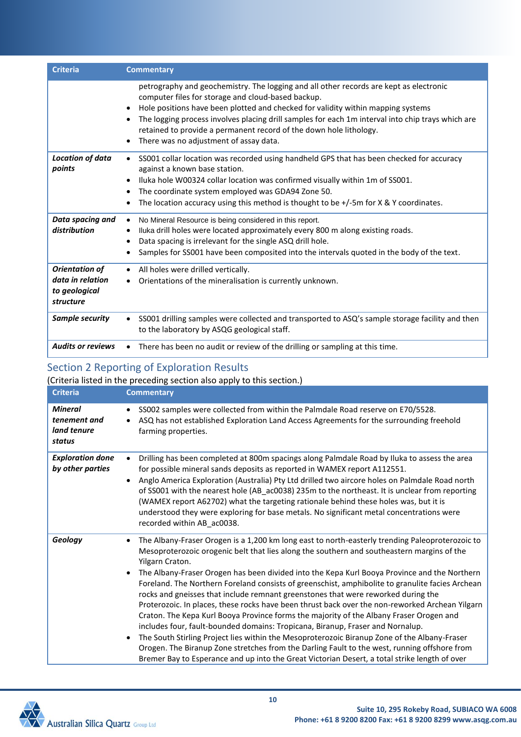| <b>Criteria</b>                                                  | <b>Commentary</b>                                                                                                                                                                                                                                                                                                                                                                                                                                     |
|------------------------------------------------------------------|-------------------------------------------------------------------------------------------------------------------------------------------------------------------------------------------------------------------------------------------------------------------------------------------------------------------------------------------------------------------------------------------------------------------------------------------------------|
|                                                                  | petrography and geochemistry. The logging and all other records are kept as electronic<br>computer files for storage and cloud-based backup.<br>Hole positions have been plotted and checked for validity within mapping systems<br>The logging process involves placing drill samples for each 1m interval into chip trays which are<br>retained to provide a permanent record of the down hole lithology.<br>There was no adjustment of assay data. |
| Location of data<br>points                                       | SS001 collar location was recorded using handheld GPS that has been checked for accuracy<br>against a known base station.<br>Iluka hole W00324 collar location was confirmed visually within 1m of SS001.<br>The coordinate system employed was GDA94 Zone 50.<br>The location accuracy using this method is thought to be $+/-5$ m for X & Y coordinates.                                                                                            |
| Data spacing and<br>distribution                                 | No Mineral Resource is being considered in this report.<br>Iluka drill holes were located approximately every 800 m along existing roads.<br>Data spacing is irrelevant for the single ASQ drill hole.<br>Samples for SS001 have been composited into the intervals quoted in the body of the text.                                                                                                                                                   |
| Orientation of<br>data in relation<br>to geological<br>structure | All holes were drilled vertically.<br>Orientations of the mineralisation is currently unknown.                                                                                                                                                                                                                                                                                                                                                        |
| Sample security                                                  | SS001 drilling samples were collected and transported to ASQ's sample storage facility and then<br>$\bullet$<br>to the laboratory by ASQG geological staff.                                                                                                                                                                                                                                                                                           |
| <b>Audits or reviews</b>                                         | There has been no audit or review of the drilling or sampling at this time.                                                                                                                                                                                                                                                                                                                                                                           |

## Section 2 Reporting of Exploration Results

| (Criteria listed in the preceding section also apply to this section.) |                                                                                                                                                                                                                                                                                                                                                                                                                                                                                                                                                                                                                                                                                                                                                                                                                                                                                                                                                                                                                                                                                                                      |  |  |  |  |  |
|------------------------------------------------------------------------|----------------------------------------------------------------------------------------------------------------------------------------------------------------------------------------------------------------------------------------------------------------------------------------------------------------------------------------------------------------------------------------------------------------------------------------------------------------------------------------------------------------------------------------------------------------------------------------------------------------------------------------------------------------------------------------------------------------------------------------------------------------------------------------------------------------------------------------------------------------------------------------------------------------------------------------------------------------------------------------------------------------------------------------------------------------------------------------------------------------------|--|--|--|--|--|
| <b>Criteria</b>                                                        | <b>Commentary</b>                                                                                                                                                                                                                                                                                                                                                                                                                                                                                                                                                                                                                                                                                                                                                                                                                                                                                                                                                                                                                                                                                                    |  |  |  |  |  |
| <b>Mineral</b><br>tenement and<br>land tenure<br>status                | SS002 samples were collected from within the Palmdale Road reserve on E70/5528.<br>$\bullet$<br>ASQ has not established Exploration Land Access Agreements for the surrounding freehold<br>farming properties.                                                                                                                                                                                                                                                                                                                                                                                                                                                                                                                                                                                                                                                                                                                                                                                                                                                                                                       |  |  |  |  |  |
| <b>Exploration done</b><br>by other parties                            | Drilling has been completed at 800m spacings along Palmdale Road by Iluka to assess the area<br>for possible mineral sands deposits as reported in WAMEX report A112551.<br>Anglo America Exploration (Australia) Pty Ltd drilled two aircore holes on Palmdale Road north<br>of SS001 with the nearest hole (AB_ac0038) 235m to the northeast. It is unclear from reporting<br>(WAMEX report A62702) what the targeting rationale behind these holes was, but it is<br>understood they were exploring for base metals. No significant metal concentrations were<br>recorded within AB_ac0038.                                                                                                                                                                                                                                                                                                                                                                                                                                                                                                                       |  |  |  |  |  |
| Geology                                                                | The Albany-Fraser Orogen is a 1,200 km long east to north-easterly trending Paleoproterozoic to<br>Mesoproterozoic orogenic belt that lies along the southern and southeastern margins of the<br>Yilgarn Craton.<br>The Albany-Fraser Orogen has been divided into the Kepa Kurl Booya Province and the Northern<br>$\bullet$<br>Foreland. The Northern Foreland consists of greenschist, amphibolite to granulite facies Archean<br>rocks and gneisses that include remnant greenstones that were reworked during the<br>Proterozoic. In places, these rocks have been thrust back over the non-reworked Archean Yilgarn<br>Craton. The Kepa Kurl Booya Province forms the majority of the Albany Fraser Orogen and<br>includes four, fault-bounded domains: Tropicana, Biranup, Fraser and Nornalup.<br>The South Stirling Project lies within the Mesoproterozoic Biranup Zone of the Albany-Fraser<br>$\bullet$<br>Orogen. The Biranup Zone stretches from the Darling Fault to the west, running offshore from<br>Bremer Bay to Esperance and up into the Great Victorian Desert, a total strike length of over |  |  |  |  |  |